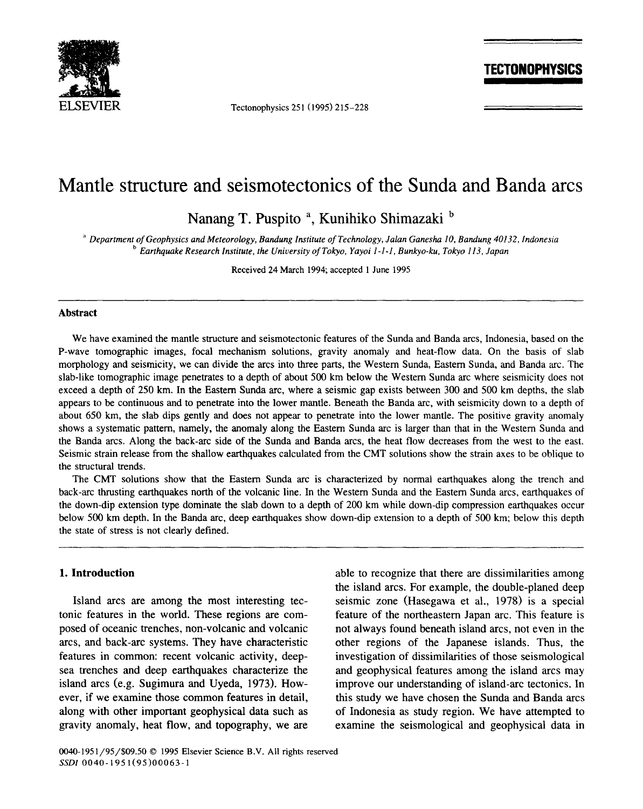

Tectonophysics 251 (1995) 215-228

# **TECTONOPHYSICS**

# **Mantle structure and seismotectonics of the Sunda and Banda arcs**

**Nanang T. Puspito a, Kunihiko Shimazaki b** 

<sup>a</sup> Department of Geophysics and Meteorology, Bandung Institute of Technology, Jalan Ganesha 10, Bandung 40132, Indonesia *b Earthquake Research Institute, the University of Tokyo, Yayoi 1-1-1, Bunkyo-ku, Tokyo 113, Japan* 

Received 24 March 1994; accepted 1 June 1995

### **Abstract**

We have examined the mantle structure and seismotectonic features of the Sunda and Banda arcs, Indonesia, based on the P-wave tomographic images, focal mechanism solutions, gravity anomaly and heat-flow data. On the basis of slab morphology and seismicity, we can divide the arcs into three parts, the Western Sunda, Eastern Sunda, and Banda arc. The slab-like tomographic image penetrates to a depth of about 500 km below the Western Sunda arc where seismicity does not exceed a depth of 250 km. In the Eastern Sunda arc, where a seismic gap exists between 300 and 500 km depths, the slab appears to be continuous and to penetrate into the lower mantle. Beneath the Banda arc, with seismicity down to a depth of about 650 km, the slab dips gently and does not appear to penetrate into the lower mantle. The positive gravity anomaly shows a systematic pattern, namely, the anomaly along the Eastern Sunda arc is larger than that in the Western Sunda and the Banda arcs. Along the back-arc side of the Sunda and Banda arcs, the heat flow decreases from the west to the east. Seismic strain release from the shallow earthquakes calculated from the CMT solutions show the strain axes to be oblique to the structural trends.

The CMT solutions show that the Eastern Sunda arc is characterized by normal earthquakes along the trench and back-arc thrusting earthquakes north of the volcanic line. In the Western Sunda and the Eastern Sunda arcs, earthquakes of the down-dip extension type dominate the slab down to a depth of 200 km while down-dip compression earthquakes occur below 500 km depth. In the Banda arc, deep earthquakes show down-dip extension to a depth of 500 km; below this depth the state of stress is not clearly defined.

### **1. Introduction**

Island arcs are among the most interesting tectonic features in the world. These regions are composed of oceanic trenches, non-volcanic and volcanic arcs, and back-arc systems. They have characteristic features in common: recent volcanic activity, deepsea trenches and deep earthquakes characterize the island arcs (e.g. Sugimura and Uyeda, 1973). However, if we examine those common features in detail, along with other important geophysical data such as gravity anomaly, heat flow, and topography, we are able to recognize that there are dissimilarities among the island arcs. For example, the double-planed deep seismic zone (Hasegawa et al., 1978) is a special feature of the northeastern Japan arc. This feature is not always found beneath island arcs, not even in the other regions of the Japanese islands. Thus, the investigation of dissimilarities of those seismological and geophysical features among the island arcs may improve our understanding of island-arc tectonics. In this study we have chosen the Sunda and Banda arcs of Indonesia as study region. We have attempted to examine the seismological and geophysical data in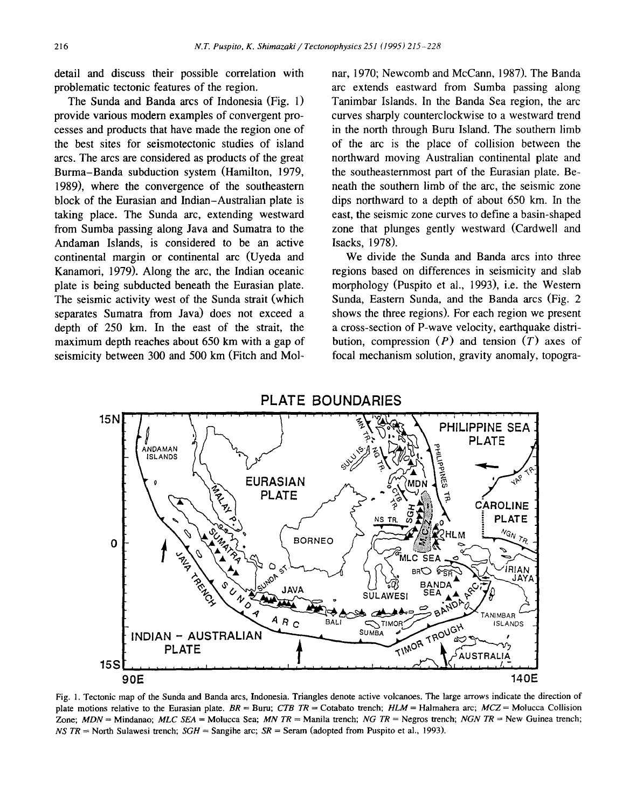detail and discuss their possible correlation with problematic tectonic features of the region.

The Sunda and Banda arcs of Indonesia (Fig. 1) provide various modem examples of convergent processes and products that have made the region one of the best sites for seismotectonic studies of island arcs. The arcs are considered as products of the great Burma-Banda subduction system (Hamilton, 1979, 1989), where the convergence of the southeastern block of the Eurasian and Indian-Australian plate is taking place. The Sunda arc, extending westward from Sumba passing along Java and Sumatra to the Andaman Islands, is considered to be an active continental margin or continental arc (Uyeda and Kanamori, 1979). Along the arc, the Indian oceanic plate is being subducted beneath the Eurasian plate. The seismic activity west of the Sunda strait (which separates Sumatra from Java) does not exceed a depth of 250 km. In the east of the strait, the maximum depth reaches about 650 km with a gap of seismicity between 300 and 500 km (Fitch and Mol-

nar, 1970; Newcomb and McCann, 1987). The Banda arc extends eastward from Sumba passing along Tanimbar Islands. In the Banda Sea region, the arc curves sharply counterclockwise to a westward trend in the north through Buru Island. The southern limb of the arc is the place of collision between the northward moving Australian continental plate and the southeastemmost part of the Eurasian plate. Beneath the southern limb of the arc, the seismic zone dips northward to a depth of about 650 km. In the east, the seismic zone curves to define a basin-shaped zone that plunges gently westward (Cardwell and Isacks, 1978).

We divide the Sunda and Banda arcs into three regions based on differences in seismicity and slab morphology (Puspito et al., 1993), i.e. the Western Sunda, Eastern Sunda, and the Banda arcs (Fig. 2 shows the three regions). For each region we present a cross-section of P-wave velocity, earthquake distribution, compression  $(P)$  and tension  $(T)$  axes of focal mechanism solution, gravity anomaly, topogra-



### **PLATE BOUNDARIES**

Fig. 1. Tectonic map of the Sunda and Banda arcs, Indonesia. Triangles denote active volcanoes. The large arrows indicate the direction of plate motions relative to the Eurasian plate. *BR* = Buru; *CTB TR* = Cotabato trench; *HLM* = Halmahera arc; *MCZ* = Molucca Collision Zone; *MDN* = Mindanao; *MLC SEA* = Molucca Sea; *MN TR* = Manila trench; *NG TR* = Negros trench; *NGN TR* = New Guinea trench; *NS TR* = North Sulawesi trench; *SGH* = Sangihe arc; *SR* = Seram (adopted from Puspito et al., 1993).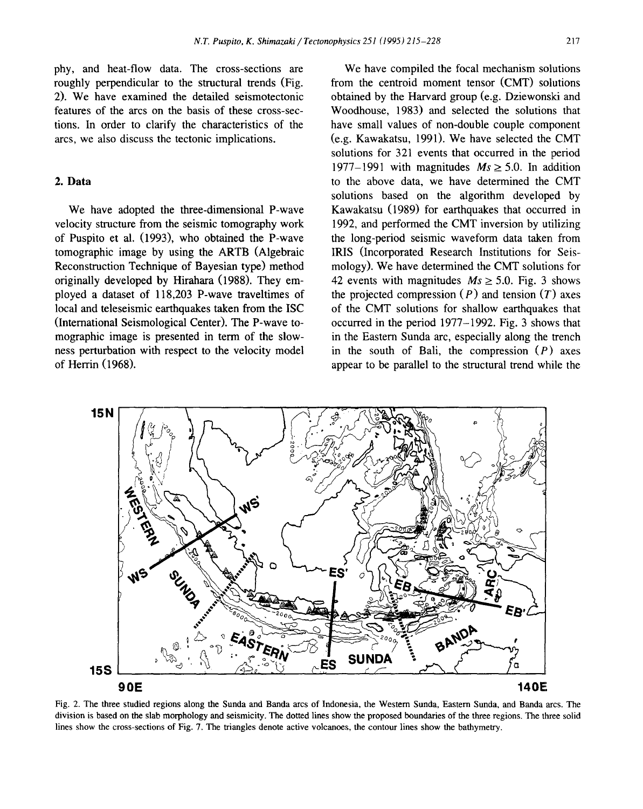phy, and heat-flow data. The cross-sections are roughly perpendicular to the structural trends (Fig. 2). We have examined the detailed seismotectonic features of the arcs on the basis of these cross-sections. In order to clarify the characteristics of the arcs, we also discuss the tectonic implications.

### **2. Data**

We have adopted the three-dimensional P-wave velocity structure from the seismic tomography work of Puspito et al. (1993), who obtained the P-wave tomographic image by using the ARTB (Algebraic Reconstruction Technique of Bayesian type) method originally developed by Hirahara (1988). They employed a dataset of 118,203 P-wave traveltimes of local and teleseismic earthquakes taken from the ISC (International Seismological Center). The P-wave tomographic image is presented in term of the slowness perturbation with respect to the velocity model of Herrin (1968).

We have compiled the focal mechanism solutions from the centroid moment tensor (CMT) solutions obtained by the Harvard group (e.g. Dziewonski and Woodhouse, 1983) and selected the solutions that have small values of non-double couple component (e.g. Kawakatsu, 1991). We have selected the CMT solutions for 321 events that occurred in the period 1977-1991 with magnitudes  $Ms \ge 5.0$ . In addition to the above data, we have determined the CMT solutions based on the algorithm developed by Kawakatsu (1989) for earthquakes that occurred in 1992, and performed the CMT inversion by utilizing the long-period seismic waveform data taken from IRIS (Incorporated Research Institutions for Seismology). We have determined the CMT solutions for 42 events with magnitudes  $Ms \geq 5.0$ . Fig. 3 shows the projected compression  $(P)$  and tension  $(T)$  axes of the CMT solutions for shallow earthquakes that occurred in the period 1977-1992. Fig. 3 shows that in the Eastern Sunda arc, especially along the trench in the south of Bali, the compression  $(P)$  axes appear to be parallel to the structural trend while the



Fig. 2. The three studied regions along the Sunda and Banda arcs of Indonesia, the Western Sunda, Eastern Sunda, and Banda arcs. The division is based on the slab morphology and seismicity. The dotted lines show the proposed boundaries of the three regions. The three solid lines show the cross-sections of Fig. 7. The triangles denote active volcanoes, the contour lines show the bathymetry.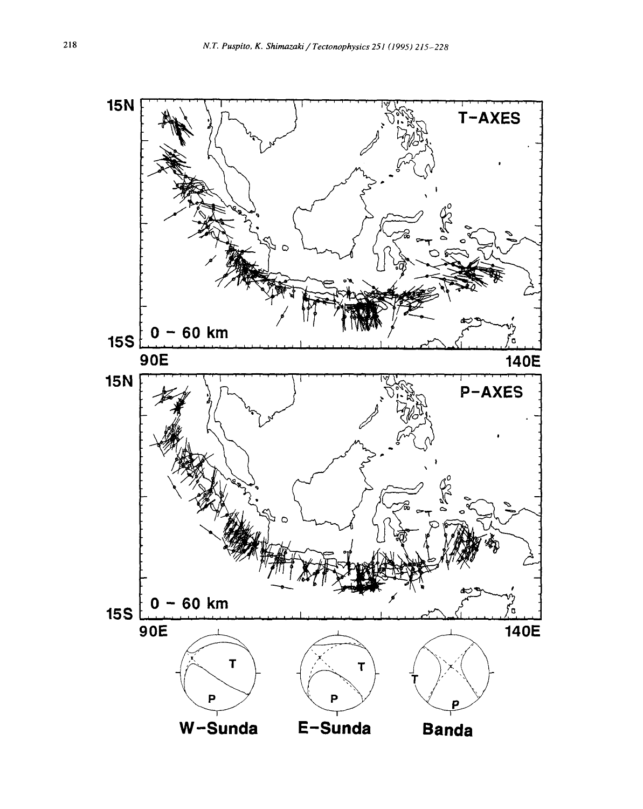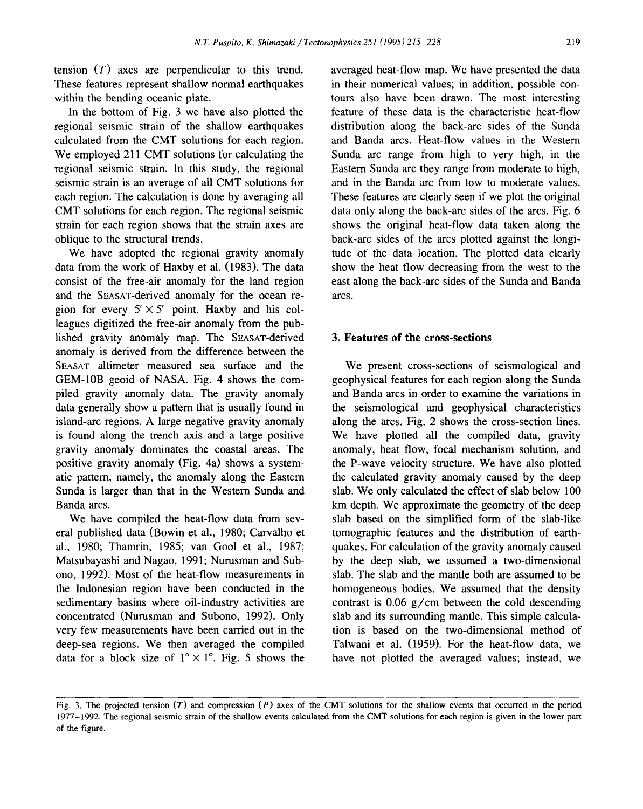tension  $(T)$  axes are perpendicular to this trend. These features represent shallow normal earthquakes within the bending oceanic plate.

In the bottom of Fig. 3 we have also plotted the regional seismic strain of the shallow earthquakes calculated from the CMT solutions for each region. We employed 211 CMT solutions for calculating the regional seismic strain. In this study, the regional seismic strain is an average of all CMT solutions for each region. The calculation is done by averaging all CMT solutions for each region. The regional seismic strain for each region shows that the strain axes are oblique to the structural trends.

We have adopted the regional gravity anomaly data from the work of Haxby et al. (1983). The data consist of the free-air anomaly for the land region and the SEASAT-derived anomaly for the ocean region for every  $5' \times 5'$  point. Haxby and his colleagues digitized the free-air anomaly from the published gravity anomaly map. The SEASAT-derived anomaly is derived from the difference between the SEASAT altimeter measured sea surface and the GEM-10B geoid of NASA. Fig. 4 shows the compiled gravity anomaly data. The gravity anomaly data generally show a pattern that is usually found in island-arc regions. A large negative gravity anomaly is found along the trench axis and a large positive gravity anomaly dominates the coastal areas. The positive gravity anomaly (Fig. 4a) shows a systematic pattern, namely, the anomaly along the Eastern Sunda is larger than that in the Western Sunda and Banda arcs.

We have compiled the heat-flow data from several published data (Bowin et al., 1980; Carvalho et al., 1980; Thamrin, 1985; van Gool et al., 1987; Matsubayashi and Nagao, 1991; Nurusman and Subono, 1992). Most of the heat-flow measurements in the Indonesian region have been conducted in the sedimentary basins where oil-industry activities are concentrated (Nurusman and Subono, 1992). Only very few measurements have been carried out in the deep-sea regions. We then averaged the compiled data for a block size of  $1^{\circ} \times 1^{\circ}$ . Fig. 5 shows the averaged heat-flow map. We have presented the data in their numerical values; in addition, possible contours also have been drawn. The most interesting feature of these data is the characteristic heat-flow distribution along the back-arc sides of the Sunda and Banda arcs. Heat-flow values in the Western Sunda arc range from high to very high, in the Eastern Sunda arc they range from moderate to high, and in the Banda arc from low to moderate values. These features are clearly seen if we plot the original data only along the back-arc sides of the arcs. Fig. 6 shows the original heat-flow data taken along the back-arc sides of the arcs plotted against the longitude of the data location. The plotted data clearly show the heat flow decreasing from the west to the east along the back-arc sides of the Sunda and Banda arCS.

### **3. Features of the cross-sections**

We present cross-sections of seismological and geophysical features for each region along the Sunda and Banda arcs in order to examine the variations in the seismological and geophysical characteristics along the arcs. Fig. 2 shows the cross-section lines. We have plotted all the compiled data, gravity anomaly, heat flow, focal mechanism solution, and the P-wave velocity structure. We have also plotted the calculated gravity anomaly caused by the deep slab. We only calculated the effect of slab below 100 km depth. We approximate the geometry of the deep slab based on the simplified form of the slab-like tomographic features and the distribution of earthquakes. For calculation of the gravity anomaly caused by the deep slab, we assumed a two-dimensional slab. The slab and the mantle both are assumed to be homogeneous bodies. We assumed that the density contrast is 0.06 g/cm between the cold descending slab and its surrounding mantle. This simple calculation is based on the two-dimensional method of Talwani et al. (1959). For the heat-flow data, we have not plotted the averaged values; instead, we

Fig. 3. The projected tension  $(T)$  and compression  $(P)$  axes of the CMT solutions for the shallow events that occurred in the period 1977-1992. The regional seismic strain of the shallow events calculated from the CMT solutions for each region is given in the lower part of the figure.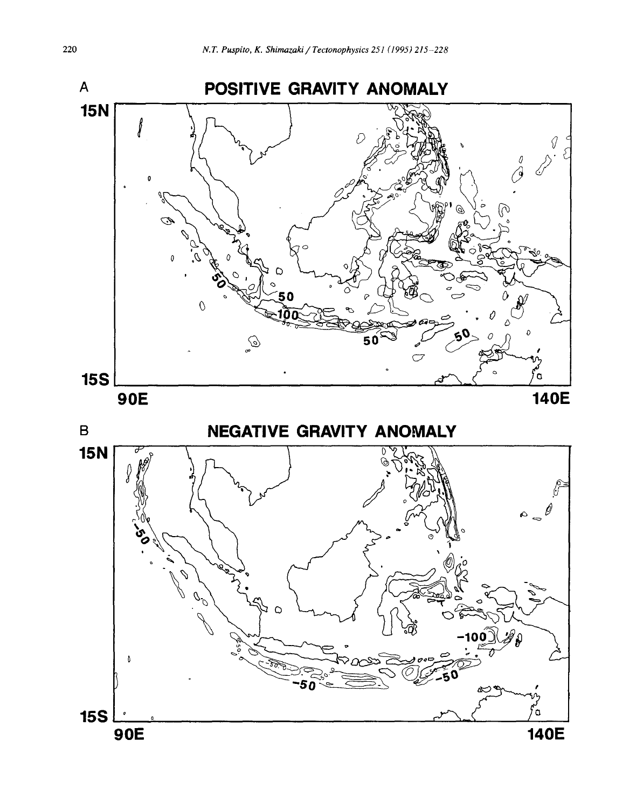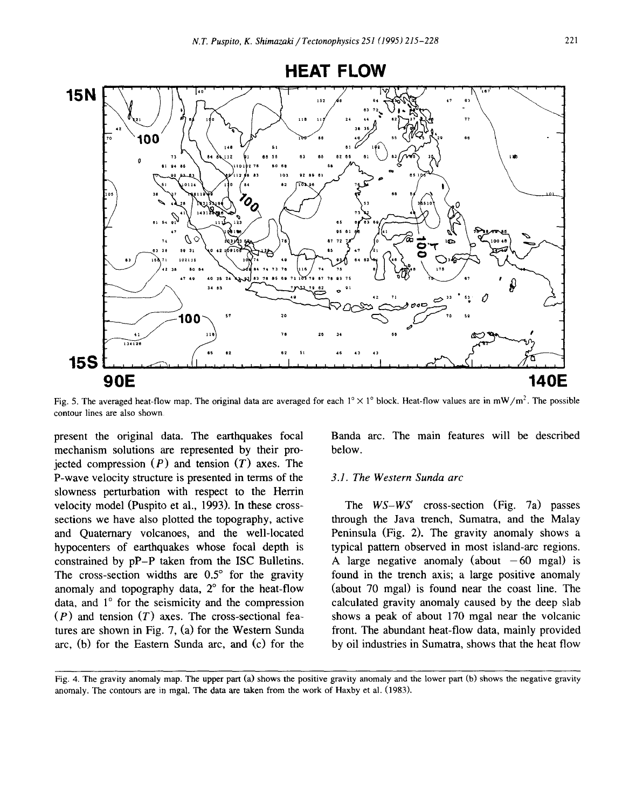## **HEAT FLOW**



Fig. 5. The averaged heat-flow map. The original data are averaged for each  $1^{\circ} \times 1^{\circ}$  block. Heat-flow values are in mW/m<sup>2</sup>. The possible **contour lines are also shown** 

**present the original data. The earthquakes focal mechanism solutions are represented by their pro-** $\phi$  jected compression  $(P)$  and tension  $(T)$  axes. The **P-wave velocity structure is presented in terms of the slowness perturbation with respect to the Herrin velocity model (Puspito et al., 1993). In these crosssections we have also plotted the topography, active and Quaternary volcanoes, and the well-located hypocenters of earthquakes whose focal depth is constrained by pP-P taken from the ISC Bulletins.**  The cross-section widths are  $0.5^{\circ}$  for the gravity anomaly and topography data, 2° for the heat-flow data, and 1<sup>°</sup> for the seismicity and the compression **(P) and tension (T) axes. The cross-sectional features are shown in Fig. 7, (a) for the Western Sunda arc, (b) for the Eastern Sunda arc, and (c) for the** 

**Banda arc. The main features will be described below.** 

### *3.1. The Western Sunda arc*

**The** *WS-WS'* **cross-section (Fig. 7a) passes through the Java trench, Sumatra, and the Malay Peninsula (Fig. 2). The gravity anomaly shows a typical pattern observed in most island-arc regions.**  A large negative anomaly (about  $-60$  mgal) is **found in the trench axis; a large positive anomaly (about 70 mgal) is found near the coast line. The calculated gravity anomaly caused by the deep slab shows a peak of about 170 mgal near the volcanic front. The abundant heat-flow data, mainly provided by oil industries in Sumatra, shows that the heat flow** 

Fig. 4. The gravity anomaly map. The upper part (a) shows the positive gravity anomaly and the lower part (b) shows the negative gravity **anomaly. The contours are in mgal. The data are taken from the work of Haxby et al.** (1983).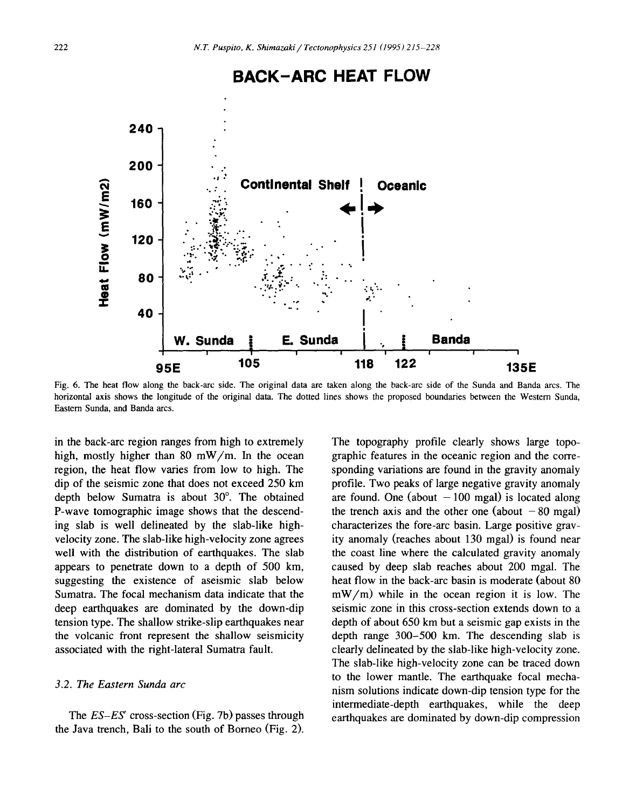

Fig. 6. The heat flow along the back-arc side. The original data are taken along the back-arc side of the Sunda and Banda arcs. The horizontal axis shows the longitude of the original data. The dotted lines shows the proposed boundaries between the Western Sunda, Eastern Sunda, and Banda arcs.

in the back-arc region ranges from high to extremely high, mostly higher than 80 mW/m. In the ocean region, the heat flow varies from low to high. The dip of the seismic zone that does not exceed 250 km depth below Sumatra is about 30°. The obtained P-wave tomographic image shows that the descending slab is well delineated by the slab-like highvelocity zone. The slab-like high-velocity zone agrees well with the distribution of earthquakes. The slab appears to penetrate down to a depth of 500 km, suggesting the existence of aseismic slab below Sumatra. The focal mechanism data indicate that the deep earthquakes are dominated by the down-dip tension type. The shallow strike-slip earthquakes near the volcanic front represent the shallow seismicity associated with the right-lateral Sumatra fault.

### *3.2. The Eastern Sunda arc*

*The ES-ES'* cross-section (Fig. 7b) passes through the Java trench, Bali to the south of Borneo (Fig. 2).

The topography profile clearly shows large topographic features in the oceanic region and the corresponding variations are found in the gravity anomaly profile. Two peaks of large negative gravity anomaly are found. One (about  $-100$  mgal) is located along the trench axis and the other one (about  $-80$  mgal) characterizes the fore-arc basin. Large positive gravity anomaly (reaches about 130 mgal) is found near the coast line where the calculated gravity anomaly caused by deep slab reaches about 200 mgal. The heat flow in the back-arc basin is moderate (about 80 mW/m) while in the ocean region it is low. The seismic zone in this cross-section extends down to a depth of about 650 km but a seismic gap exists in the depth range 300-500 km. The descending slab is clearly delineated by the slab-like high-velocity zone. The slab-like high-velocity zone can be traced down to the lower mantle. The earthquake focal mechanism solutions indicate down-dip tension type for the intermediate-depth earthquakes, while the deep earthquakes are dominated by down-dip compression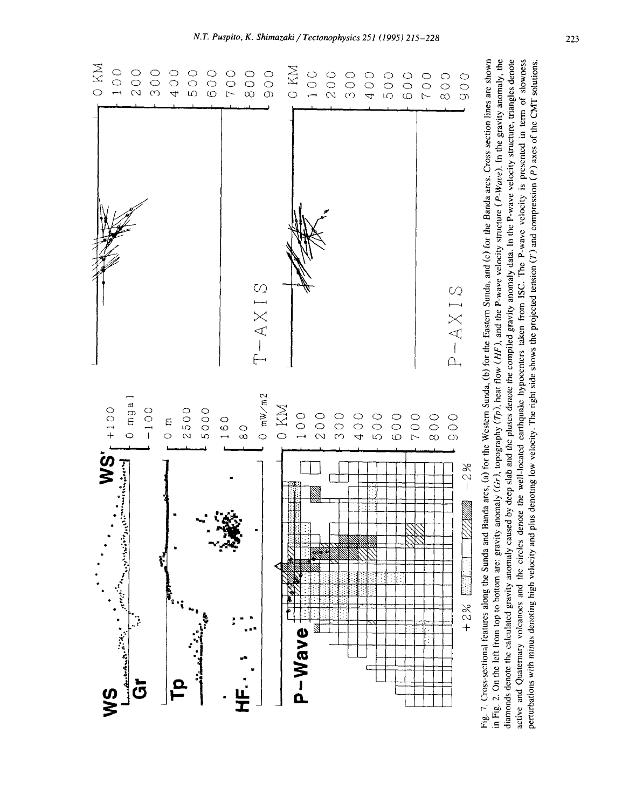

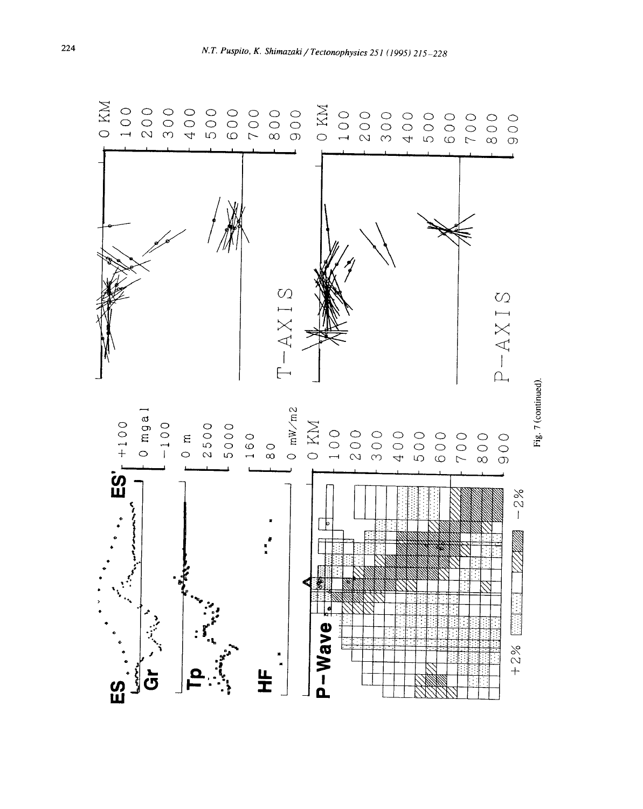

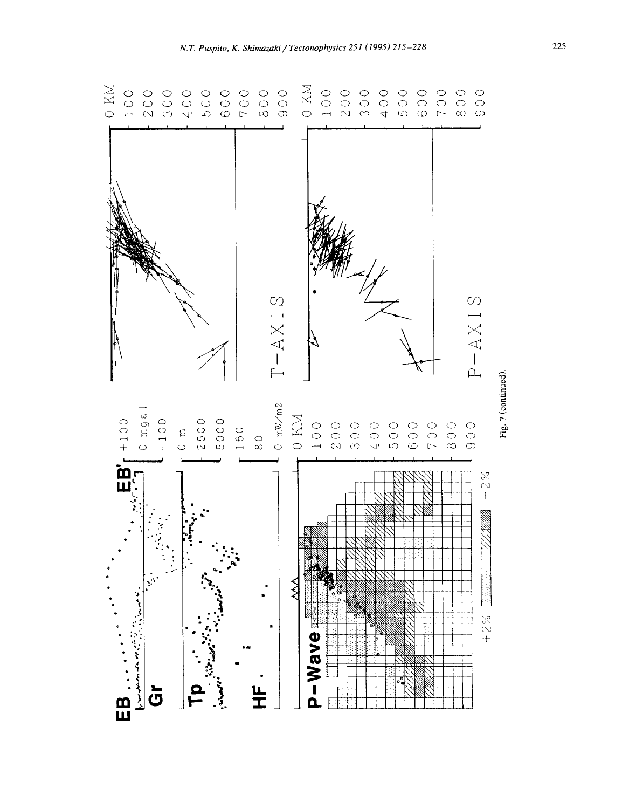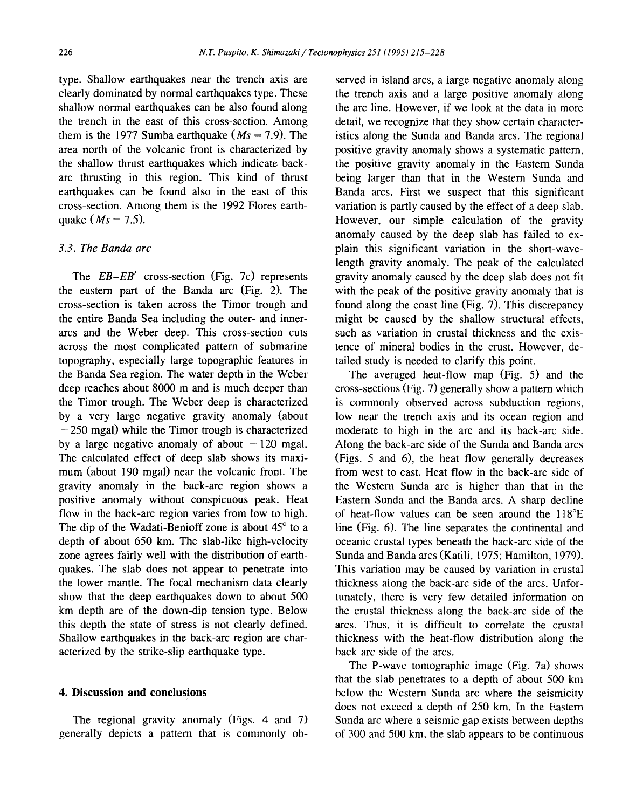type. Shallow earthquakes near the trench axis are clearly dominated by normal earthquakes type. These shallow normal earthquakes can be also found along the trench in the east of this cross-section. Among them is the 1977 Sumba earthquake  $(Ms = 7.9)$ . The area north of the volcanic front is characterized by the shallow thrust earthquakes which indicate backarc thrusting in this region. This kind of thrust earthquakes can be found also in the east of this cross-section. Among them is the 1992 Flores earthquake  $(Ms = 7.5)$ .

### *3.3. The Banda arc*

The *EB-EB'* cross-section (Fig. 7c) represents the eastern part of the Banda arc (Fig. 2). The cross-section is taken across the Timor trough and the entire Banda Sea including the outer- and innerarcs and the Weber deep. This cross-section cuts across the most complicated pattern of submarine topography, especially large topographic features in the Banda Sea region. The water depth in the Weber deep reaches about 8000 m and is much deeper than the Timor trough. The Weber deep is characterized by a very large negative gravity anomaly (about  $-250$  mgal) while the Timor trough is characterized by a large negative anomaly of about  $-120$  mgal. The calculated effect of deep slab shows its maximum (about 190 mgal) near the volcanic front. The gravity anomaly in the back-arc region shows a positive anomaly without conspicuous peak. Heat flow in the back-arc region varies from low to high. The dip of the Wadati-Benioff zone is about  $45^\circ$  to a depth of about 650 km. The slab-like high-velocity zone agrees fairly well with the distribution of earthquakes. The slab does not appear to penetrate into the lower mantle. The focal mechanism data clearly show that the deep earthquakes down to about 500 km depth are of the down-dip tension type. Below this depth the state of stress is not clearly defined. Shallow earthquakes in the back-arc region are characterized by the strike-slip earthquake type.

### **4. Discussion and conclusions**

The regional gravity anomaly (Figs. 4 and 7) generally depicts a pattern that is commonly **ob-** served in island arcs, a large negative anomaly along the trench axis and a large positive anomaly along the arc line. However, if we look at the data in more detail, we recognize that they show certain characteristics along the Sunda and Banda arcs. The regional positive gravity anomaly shows a systematic pattern, the positive gravity anomaly in the Eastern Sunda being larger than that in the Western Sunda and Banda arcs. First we suspect that this significant variation is partly caused by the effect of a deep slab. However, our simple calculation of the gravity anomaly caused by the deep slab has failed to explain this significant variation in the short-wavelength gravity anomaly. The peak of the calculated gravity anomaly caused by the deep slab does not fit with the peak of the positive gravity anomaly that is found along the coast line (Fig. 7). This discrepancy might be caused by the shallow structural effects, such as variation in crustal thickness and the existence of mineral bodies in the crust. However, detailed study is needed to clarify this point.

The averaged heat-flow map (Fig. 5) and the cross-sections (Fig. 7) generally show a pattern which is commonly observed across subduction regions, low near the trench axis and its ocean region and moderate to high in the arc and its back-arc side. Along the back-arc side of the Sunda and Banda arcs (Figs. 5 and 6), the heat flow generally decreases from west to east. Heat flow in the back-arc side of the Western Sunda arc is higher than that in the Eastern Sunda and the Banda arcs. A sharp decline of heat-flow values can be seen around the l18°E line (Fig. 6). The line separates the continental and oceanic crustal types beneath the back-arc side of the Sunda and Banda arcs (Katili, 1975; Hamilton, 1979). This variation may be caused by variation in crustal thickness along the back-arc side of the arcs. Unfortunately, there is very few detailed information on the crustal thickness along the back-arc side of the arcs. Thus, it is difficult to correlate the crustal thickness with the heat-flow distribution along the back-arc side of the arcs.

The P-wave tomographic image (Fig. 7a) shows that the slab penetrates to a depth of about 500 km below the Western Sunda arc where the seismicity does not exceed a depth of 250 km. In the Eastern Sunda arc where a seismic gap exists between depths of 300 and 500 km, the slab appears to be continuous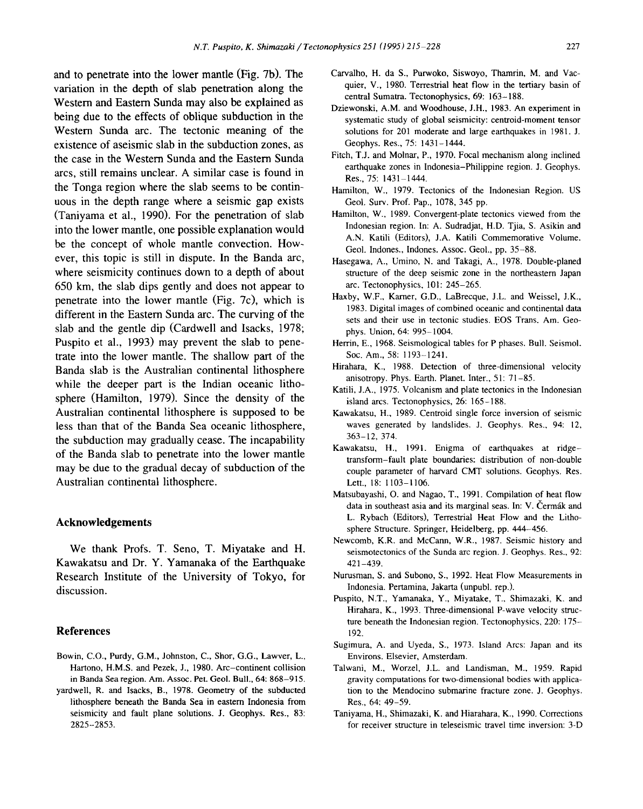and to penetrate into the lower mantle (Fig. 7b). The variation in the depth of slab penetration along the Western and Eastern Sunda may also be explained as being due to the effects of oblique subduction in the Western Sunda arc. The tectonic meaning of the existence of aseismic slab in the subduction zones, as the case in the Western Sunda and the Eastern Sunda arcs, still remains unclear. A similar case is found in the Tonga region where the slab seems to be continuous in the depth range where a seismic gap exists (Taniyama et al., 1990). For the penetration of slab into the lower mantle, one possible explanation would be the concept of whole mantle convection. However, this topic is still in dispute. In the Banda arc, where seismicity continues down to a depth of about 650 km, the slab dips gently and does not appear to penetrate into the lower mantle (Fig. 7c), which is different in the Eastern Sunda arc. The curving of the slab and the gentle dip (Cardwell and lsacks, 1978; Puspito et al., 1993) may prevent the slab to penetrate into the lower mantle. The shallow part of the Banda slab is the Australian continental lithosphere while the deeper part is the Indian oceanic lithosphere (Hamilton, 1979). Since the density of the Australian continental lithosphere is supposed to be less than that of the Banda Sea oceanic lithosphere, the subduction may gradually cease. The incapability of the Banda slab to penetrate into the lower mantle may be due to the gradual decay of subduction of the Australian continental lithosphere.

### **Acknowledgements**

We thank Profs. T. Seno, T. Miyatake and H. Kawakatsu and Dr. Y. Yamanaka of the Earthquake Research Institute of the University of Tokyo, for discussion.

#### **References**

- Bowin, C.O., Purdy, G.M., Johnston, C., Shor, G.G., Lawver, L., Hartono, H.M.S. and Pezek, J., 1980. Arc-continent collision in Banda Sea region. Am. Assoc. Pet. Geol. Bull., 64: 868-915.
- yardwell, R. and Isacks, B., 1978. Geometry of the subducted lithosphere beneath the Banda Sea in eastern Indonesia from seismicity and fault plane solutions. J. Geophys. Res., 83: 2825-2853.
- Carvalho, H. da S., Purwoko, Siswoyo, Thamrin, M. and Vacquier, V., 1980. Terrestrial heat flow in the tertiary basin of central Sumatra. Tectonophysics, 69: 163-188.
- Dziewonski, A.M. and Woodhouse, J.H., 1983. An experiment in systematic study of global seismicity: centroid-moment tensor solutions for 201 moderate and large earthquakes in 1981. J. Geophys. Res., 75: 1431-1444.
- Fitch, T.J. and Molnar, P., 1970. Focal mechanism along inclined earthquake zones in Indonesia-Philippine region. J. Geophys. Res., 75: 1431-1444.
- Hamilton, W., 1979. Tectonics of the Indonesian Region. US Geol. Surv. Prof. Pap., 1078, 345 pp.
- Hamilton, W., 1989. Convergent-plate tectonics viewed from the Indonesian region. In: A. Sudradjat, H.D. Tjia, S. Asikin and A.N. Katili (Editors), J.A. Katili Commemorative Volume. Geol. Indones., Indones. Assoc. Geol., pp. 35-88.
- Hasegawa, A., Umino, N. and Takagi, A., 1978. Double-planed structure of the deep seismic zone in the northeastern Japan arc. Tectonophysics, 101: 245-265.
- Haxby, W.F., Karner, G.D., LaBrecque, J.L. and Weissel, J.K., 1983. Digital images of combined oceanic and continental data sets and their use in tectonic studies. EOS Trans. Am. Geophys. Union, 64: 995-1004.
- Herrin, E., 1968. Seismological tables for P phases. Bull. Seismol. Soc. Am., 58: 1193-1241.
- Hirahara, K., 1988. Detection of three-dimensional velocity anisotropy. Phys. Earth. Planet. Inter., 51: 71-85.
- Katili, J.A., 1975. Volcanism and plate tectonics in the Indonesian island arcs. Tectonophysics, 26: 165-188.
- Kawakatsu, H., 1989. Centroid single force inversion of seismic waves generated by landslides. J. Geophys. Res., 94: 12, 363-12, 374.
- Kawakatsu, H., 1991. Enigma of earthquakes at ridgetransform-fault plate boundaries: distribution of non-double couple parameter of harvard CMT solutions. Geophys. Res. Lett., 18: 1103-1106.
- Matsubayashi, O. and Nagao, T., 1991. Compilation of heat flow data in southeast asia and its marginal seas. In: V. Cermák and L. Rybach (Editors), Terrestrial Heat Flow and the Lithosphere Structure. Springer, Heidelberg, pp. 444-456.
- Newcomb, K.R. and McCann, W.R., 1987. Seismic history and seismotectonics of the Sunda arc region. J. Geophys. Res., 92: 421-439.
- Nurusman, S. and Subono, S., 1992. Heat Flow Measurements in Indonesia. Pertamina, Jakarta (unpubl. rep.).
- Puspito, N.T., Yamanaka, Y., Miyatake, T., Shimazaki, K. and Hirahara, K., 1993. Three-dimensional P-wave velocity structure beneath the Indonesian region. Tectonophysics, 220:175- 192.
- Sugimura, A. and Uyeda, S., 1973. Island Arcs: Japan and its Environs. Elsevier, Amsterdam.
- Talwani, M., Worzel, J.L. and Landisman, M., 1959. Rapid gravity computations for two-dimensional bodies with application to the Mendocino submarine fracture zone. J. Geophys. Res., 64: 49-59.
- Taniyama, H., Shimazaki, K. and Hiarahara, K., 1990. Corrections for receiver structure in teleseismic travel time inversion: 3-D